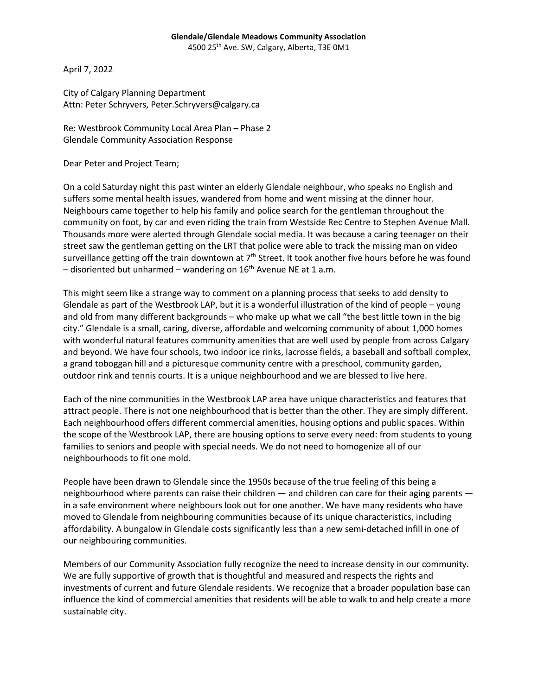## **Glendale/Glendale Meadows Community Association**

4500 25<sup>th</sup> Ave. SW, Calgary, Alberta, T3E 0M1

April 7, 2022

City of Calgary Planning Department Attn: Peter Schryvers, Peter.Schryvers@calgary.ca

Re: Westbrook Community Local Area Plan – Phase 2 Glendale Community Association Response

Dear Peter and Project Team;

On a cold Saturday night this past winter an elderly Glendale neighbour, who speaks no English and suffers some mental health issues, wandered from home and went missing at the dinner hour. Neighbours came together to help his family and police search for the gentleman throughout the community on foot, by car and even riding the train from Westside Rec Centre to Stephen Avenue Mall. Thousands more were alerted through Glendale social media. It was because a caring teenager on their street saw the gentleman getting on the LRT that police were able to track the missing man on video surveillance getting off the train downtown at  $7<sup>th</sup>$  Street. It took another five hours before he was found – disoriented but unharmed – wandering on  $16<sup>th</sup>$  Avenue NE at 1 a.m.

This might seem like a strange way to comment on a planning process that seeks to add density to Glendale as part of the Westbrook LAP, but it is a wonderful illustration of the kind of people – young and old from many different backgrounds – who make up what we call "the best little town in the big city." Glendale is a small, caring, diverse, affordable and welcoming community of about 1,000 homes with wonderful natural features community amenities that are well used by people from across Calgary and beyond. We have four schools, two indoor ice rinks, lacrosse fields, a baseball and softball complex, a grand toboggan hill and a picturesque community centre with a preschool, community garden, outdoor rink and tennis courts. It is a unique neighbourhood and we are blessed to live here.

Each of the nine communities in the Westbrook LAP area have unique characteristics and features that attract people. There is not one neighbourhood that is better than the other. They are simply different. Each neighbourhood offers different commercial amenities, housing options and public spaces. Within the scope of the Westbrook LAP, there are housing options to serve every need: from students to young families to seniors and people with special needs. We do not need to homogenize all of our neighbourhoods to fit one mold.

People have been drawn to Glendale since the 1950s because of the true feeling of this being a neighbourhood where parents can raise their children — and children can care for their aging parents in a safe environment where neighbours look out for one another. We have many residents who have moved to Glendale from neighbouring communities because of its unique characteristics, including affordability. A bungalow in Glendale costs significantly less than a new semi-detached infill in one of our neighbouring communities.

Members of our Community Association fully recognize the need to increase density in our community. We are fully supportive of growth that is thoughtful and measured and respects the rights and investments of current and future Glendale residents. We recognize that a broader population base can influence the kind of commercial amenities that residents will be able to walk to and help create a more sustainable city.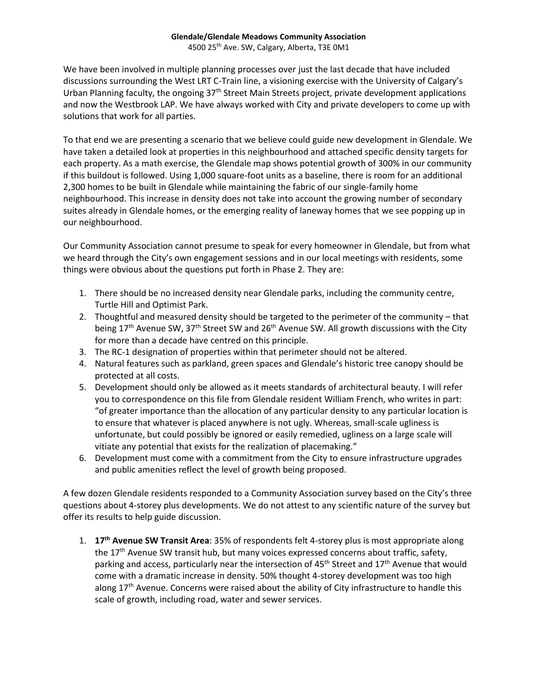## **Glendale/Glendale Meadows Community Association** 4500 25<sup>th</sup> Ave. SW, Calgary, Alberta, T3E 0M1

We have been involved in multiple planning processes over just the last decade that have included discussions surrounding the West LRT C-Train line, a visioning exercise with the University of Calgary's Urban Planning faculty, the ongoing 37<sup>th</sup> Street Main Streets project, private development applications and now the Westbrook LAP. We have always worked with City and private developers to come up with solutions that work for all parties.

To that end we are presenting a scenario that we believe could guide new development in Glendale. We have taken a detailed look at properties in this neighbourhood and attached specific density targets for each property. As a math exercise, the Glendale map shows potential growth of 300% in our community if this buildout is followed. Using 1,000 square-foot units as a baseline, there is room for an additional 2,300 homes to be built in Glendale while maintaining the fabric of our single-family home neighbourhood. This increase in density does not take into account the growing number of secondary suites already in Glendale homes, or the emerging reality of laneway homes that we see popping up in our neighbourhood.

Our Community Association cannot presume to speak for every homeowner in Glendale, but from what we heard through the City's own engagement sessions and in our local meetings with residents, some things were obvious about the questions put forth in Phase 2. They are:

- 1. There should be no increased density near Glendale parks, including the community centre, Turtle Hill and Optimist Park.
- 2. Thoughtful and measured density should be targeted to the perimeter of the community that being  $17<sup>th</sup>$  Avenue SW, 37<sup>th</sup> Street SW and 26<sup>th</sup> Avenue SW. All growth discussions with the City for more than a decade have centred on this principle.
- 3. The RC-1 designation of properties within that perimeter should not be altered.
- 4. Natural features such as parkland, green spaces and Glendale's historic tree canopy should be protected at all costs.
- 5. Development should only be allowed as it meets standards of architectural beauty. I will refer you to correspondence on this file from Glendale resident William French, who writes in part: "of greater importance than the allocation of any particular density to any particular location is to ensure that whatever is placed anywhere is not ugly. Whereas, small-scale ugliness is unfortunate, but could possibly be ignored or easily remedied, ugliness on a large scale will vitiate any potential that exists for the realization of placemaking."
- 6. Development must come with a commitment from the City to ensure infrastructure upgrades and public amenities reflect the level of growth being proposed.

A few dozen Glendale residents responded to a Community Association survey based on the City's three questions about 4-storey plus developments. We do not attest to any scientific nature of the survey but offer its results to help guide discussion.

1. **17th Avenue SW Transit Area**: 35% of respondents felt 4-storey plus is most appropriate along the 17<sup>th</sup> Avenue SW transit hub, but many voices expressed concerns about traffic, safety, parking and access, particularly near the intersection of 45<sup>th</sup> Street and 17<sup>th</sup> Avenue that would come with a dramatic increase in density. 50% thought 4-storey development was too high along  $17<sup>th</sup>$  Avenue. Concerns were raised about the ability of City infrastructure to handle this scale of growth, including road, water and sewer services.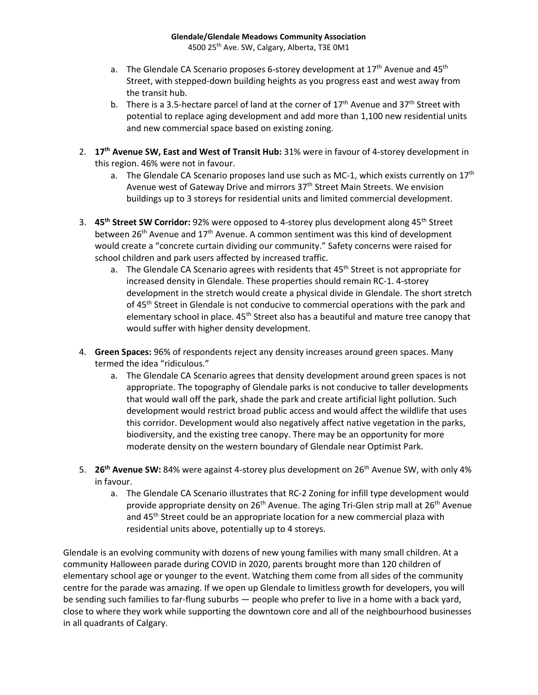- a. The Glendale CA Scenario proposes 6-storey development at  $17<sup>th</sup>$  Avenue and  $45<sup>th</sup>$ Street, with stepped-down building heights as you progress east and west away from the transit hub.
- b. There is a 3.5-hectare parcel of land at the corner of  $17<sup>th</sup>$  Avenue and  $37<sup>th</sup>$  Street with potential to replace aging development and add more than 1,100 new residential units and new commercial space based on existing zoning.
- 2. **17th Avenue SW, East and West of Transit Hub:** 31% were in favour of 4-storey development in this region. 46% were not in favour.
	- a. The Glendale CA Scenario proposes land use such as MC-1, which exists currently on  $17<sup>th</sup>$ Avenue west of Gateway Drive and mirrors 37<sup>th</sup> Street Main Streets. We envision buildings up to 3 storeys for residential units and limited commercial development.
- 3. **45th Street SW Corridor:** 92% were opposed to 4-storey plus development along 45th Street between 26<sup>th</sup> Avenue and 17<sup>th</sup> Avenue. A common sentiment was this kind of development would create a "concrete curtain dividing our community." Safety concerns were raised for school children and park users affected by increased traffic.
	- a. The Glendale CA Scenario agrees with residents that  $45<sup>th</sup>$  Street is not appropriate for increased density in Glendale. These properties should remain RC-1. 4-storey development in the stretch would create a physical divide in Glendale. The short stretch of 45<sup>th</sup> Street in Glendale is not conducive to commercial operations with the park and elementary school in place. 45<sup>th</sup> Street also has a beautiful and mature tree canopy that would suffer with higher density development.
- 4. **Green Spaces:** 96% of respondents reject any density increases around green spaces. Many termed the idea "ridiculous."
	- a. The Glendale CA Scenario agrees that density development around green spaces is not appropriate. The topography of Glendale parks is not conducive to taller developments that would wall off the park, shade the park and create artificial light pollution. Such development would restrict broad public access and would affect the wildlife that uses this corridor. Development would also negatively affect native vegetation in the parks, biodiversity, and the existing tree canopy. There may be an opportunity for more moderate density on the western boundary of Glendale near Optimist Park.
- 5. **26th Avenue SW:** 84% were against 4-storey plus development on 26th Avenue SW, with only 4% in favour.
	- a. The Glendale CA Scenario illustrates that RC-2 Zoning for infill type development would provide appropriate density on  $26<sup>th</sup>$  Avenue. The aging Tri-Glen strip mall at  $26<sup>th</sup>$  Avenue and 45<sup>th</sup> Street could be an appropriate location for a new commercial plaza with residential units above, potentially up to 4 storeys.

Glendale is an evolving community with dozens of new young families with many small children. At a community Halloween parade during COVID in 2020, parents brought more than 120 children of elementary school age or younger to the event. Watching them come from all sides of the community centre for the parade was amazing. If we open up Glendale to limitless growth for developers, you will be sending such families to far-flung suburbs — people who prefer to live in a home with a back yard, close to where they work while supporting the downtown core and all of the neighbourhood businesses in all quadrants of Calgary.